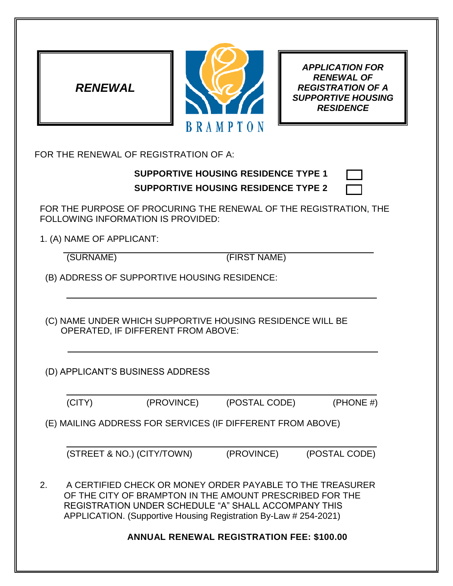



*APPLICATION FOR RENEWAL OF REGISTRATION OF A SUPPORTIVE HOUSING RESIDENCE*

FOR THE RENEWAL OF REGISTRATION OF A:

## **SUPPORTIVE HOUSING RESIDENCE TYPE 1**

| FOR THE PURPOSE OF PROCURING THE RENEWAL OF THE REGISTRATION, THE |  |
|-------------------------------------------------------------------|--|
| FOLLOWING INFORMATION IS PROVIDED:                                |  |

1. (A) NAME OF APPLICANT:

(SURNAME) (FIRST NAME)

(B) ADDRESS OF SUPPORTIVE HOUSING RESIDENCE:

(C) NAME UNDER WHICH SUPPORTIVE HOUSING RESIDENCE WILL BE OPERATED, IF DIFFERENT FROM ABOVE:

(D) APPLICANT'S BUSINESS ADDRESS

 $(PROVINCE)$   $(POSTAL CODE)$   $(PHONE #)$ 

(E) MAILING ADDRESS FOR SERVICES (IF DIFFERENT FROM ABOVE)

(STREET & NO.) (CITY/TOWN) (PROVINCE) (POSTAL CODE)

2. A CERTIFIED CHECK OR MONEY ORDER PAYABLE TO THE TREASURER OF THE CITY OF BRAMPTON IN THE AMOUNT PRESCRIBED FOR THE REGISTRATION UNDER SCHEDULE "A" SHALL ACCOMPANY THIS APPLICATION. (Supportive Housing Registration By-Law # 254-2021)

## **ANNUAL RENEWAL REGISTRATION FEE: \$100.00**